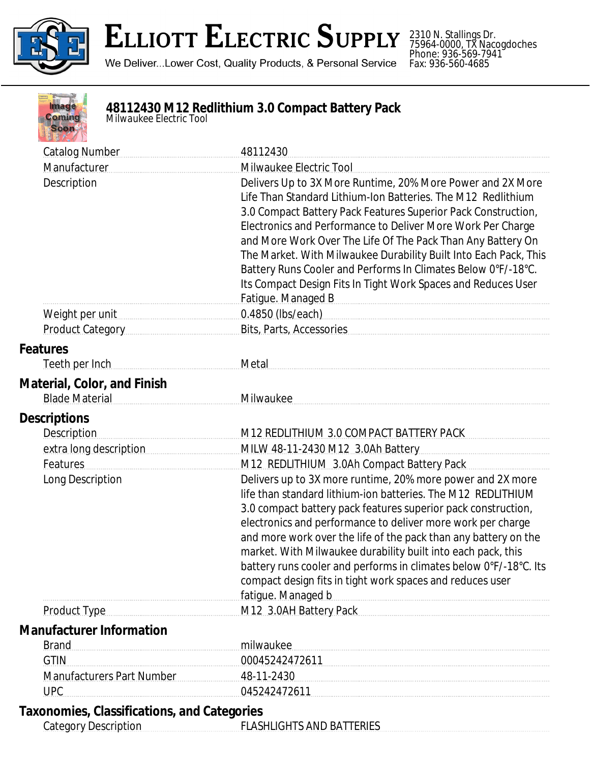

## **ELLIOTT ELECTRIC SUPPLY**

We Deliver...Lower Cost, Quality Products, & Personal Service

2310 N. Stallings Dr. 75964-0000, TX Nacogdoches Phone: 936-569-7941 Fax: 936-560-4685



## **48112430 M12 Redlithium 3.0 Compact Battery Pack** *Milwaukee Electric Tool*

| <b>Catalog Number</b>                                                             | 48112430                                                                                                                                                                                                                                                                                                                                                                                                                                                                                                                                              |
|-----------------------------------------------------------------------------------|-------------------------------------------------------------------------------------------------------------------------------------------------------------------------------------------------------------------------------------------------------------------------------------------------------------------------------------------------------------------------------------------------------------------------------------------------------------------------------------------------------------------------------------------------------|
| Manufacturer                                                                      | Milwaukee Electric Tool                                                                                                                                                                                                                                                                                                                                                                                                                                                                                                                               |
| Description                                                                       | Delivers Up to 3X More Runtime, 20% More Power and 2X More<br>Life Than Standard Lithium-Ion Batteries. The M12 Redlithium<br>3.0 Compact Battery Pack Features Superior Pack Construction,<br>Electronics and Performance to Deliver More Work Per Charge<br>and More Work Over The Life Of The Pack Than Any Battery On<br>The Market. With Milwaukee Durability Built Into Each Pack, This<br>Battery Runs Cooler and Performs In Climates Below 0°F/-18°C.<br>Its Compact Design Fits In Tight Work Spaces and Reduces User<br>Fatigue. Managed B |
| Weight per unit                                                                   | 0.4850 (lbs/each)                                                                                                                                                                                                                                                                                                                                                                                                                                                                                                                                     |
| <b>Product Category</b>                                                           | Bits, Parts, Accessories                                                                                                                                                                                                                                                                                                                                                                                                                                                                                                                              |
| <b>Features</b>                                                                   |                                                                                                                                                                                                                                                                                                                                                                                                                                                                                                                                                       |
| Teeth per Inch                                                                    | Metal                                                                                                                                                                                                                                                                                                                                                                                                                                                                                                                                                 |
| <b>Material, Color, and Finish</b>                                                |                                                                                                                                                                                                                                                                                                                                                                                                                                                                                                                                                       |
| <b>Blade Material</b>                                                             | Milwaukee                                                                                                                                                                                                                                                                                                                                                                                                                                                                                                                                             |
| <b>Descriptions</b>                                                               |                                                                                                                                                                                                                                                                                                                                                                                                                                                                                                                                                       |
| <b>Description</b>                                                                | M12 REDLITHIUM 3.0 COMPACT BATTERY PACK                                                                                                                                                                                                                                                                                                                                                                                                                                                                                                               |
| extra long description                                                            | MILW 48-11-2430 M12 3.0Ah Battery                                                                                                                                                                                                                                                                                                                                                                                                                                                                                                                     |
| Features                                                                          | M12 REDLITHIUM 3.0Ah Compact Battery Pack                                                                                                                                                                                                                                                                                                                                                                                                                                                                                                             |
| Long Description                                                                  | Delivers up to 3X more runtime, 20% more power and 2X more<br>life than standard lithium-ion batteries. The M12 REDLITHIUM<br>3.0 compact battery pack features superior pack construction,<br>electronics and performance to deliver more work per charge<br>and more work over the life of the pack than any battery on the<br>market. With Milwaukee durability built into each pack, this<br>battery runs cooler and performs in climates below 0°F/-18°C. Its<br>compact design fits in tight work spaces and reduces user<br>fatigue. Managed b |
| <b>Product Type</b>                                                               | M12 3.0AH Battery Pack                                                                                                                                                                                                                                                                                                                                                                                                                                                                                                                                |
| <b>Manufacturer Information</b>                                                   |                                                                                                                                                                                                                                                                                                                                                                                                                                                                                                                                                       |
| <b>Brand</b>                                                                      | milwaukee                                                                                                                                                                                                                                                                                                                                                                                                                                                                                                                                             |
| <b>GTIN</b>                                                                       | 00045242472611                                                                                                                                                                                                                                                                                                                                                                                                                                                                                                                                        |
| Manufacturers Part Number                                                         | 48-11-2430                                                                                                                                                                                                                                                                                                                                                                                                                                                                                                                                            |
| <b>UPC</b>                                                                        | 045242472611                                                                                                                                                                                                                                                                                                                                                                                                                                                                                                                                          |
| <b>Taxonomies, Classifications, and Categories</b><br><b>Category Description</b> | <b>FLASHLIGHTS AND BATTERIES</b>                                                                                                                                                                                                                                                                                                                                                                                                                                                                                                                      |